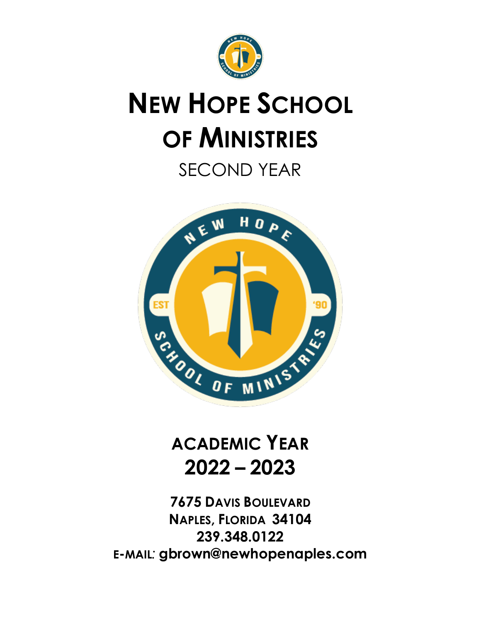

# **NEW HOPE SCHOOL OF MINISTRIES**

SECOND YEAR



**ACADEMIC YEAR 2022 – 2023**

**7675 DAVIS BOULEVARD NAPLES, FLORIDA 34104 239.348.0122 E-MAIL***:* **gbrown@newhopenaples.com**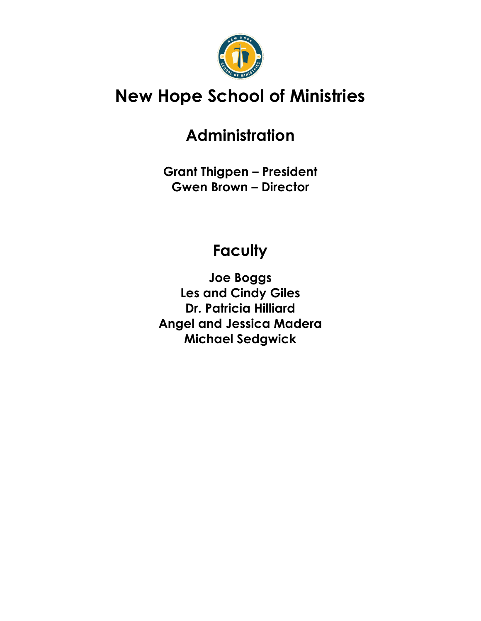

# **New Hope School of Ministries**

# **Administration**

**Grant Thigpen – President Gwen Brown – Director**

### **Faculty**

**Joe Boggs Les and Cindy Giles Dr. Patricia Hilliard Angel and Jessica Madera Michael Sedgwick**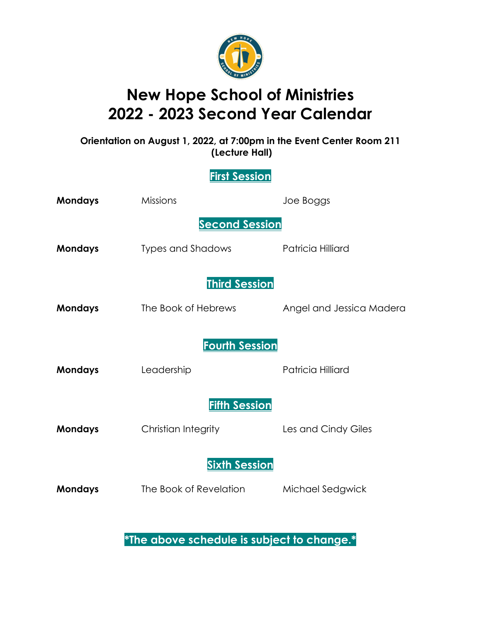

### **New Hope School of Ministries 2022 - 2023 Second Year Calendar**

#### **Orientation on August 1, 2022, at 7:00pm in the Event Center Room 211 (Lecture Hall)**

**First Session**

| <b>Mondays</b> | <b>Missions</b>          | Joe Boggs                |
|----------------|--------------------------|--------------------------|
|                | <b>Second Session</b>    |                          |
| <b>Mondays</b> | <b>Types and Shadows</b> | Patricia Hilliard        |
|                | <b>Third Session</b>     |                          |
| <b>Mondays</b> | The Book of Hebrews      | Angel and Jessica Madera |
|                | <b>Fourth Session</b>    |                          |
| <b>Mondays</b> | Leadership               | Patricia Hilliard        |
|                | <b>Fifth Session</b>     |                          |
| <b>Mondays</b> | Christian Integrity      | Les and Cindy Giles      |
|                | <b>Sixth Session</b>     |                          |
| <b>Mondays</b> | The Book of Revelation   | Michael Sedgwick         |
|                |                          |                          |

**\*The above schedule is subject to change.\***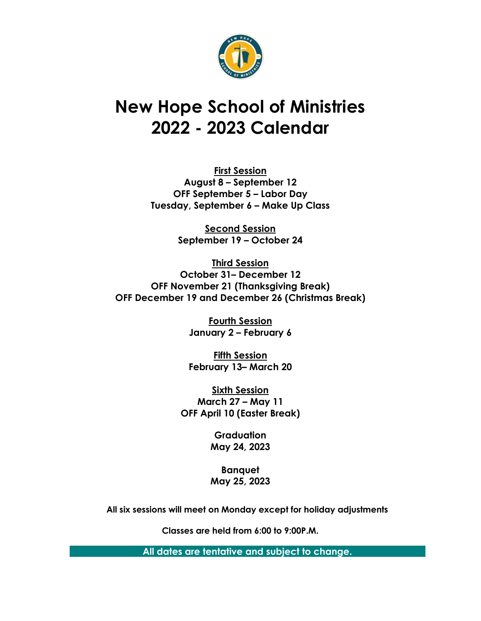

# **New Hope School of Ministries 2022 - 2023 Calendar**

**First Session August 8 – September 12 OFF September 5 – Labor Day Tuesday, September 6 – Make Up Class**

> **Second Session September 19 – October 24**

**Third Session October 31– December 12 OFF November 21 (Thanksgiving Break) OFF December 19 and December 26 (Christmas Break)**

> **Fourth Session January 2 – February 6**

**Fifth Session February 13– March 20**

**Sixth Session March 27 – May 11 OFF April 10 (Easter Break)**

> **Graduation May 24, 2023**

#### **Banquet May 25, 2023**

**All six sessions will meet on Monday except for holiday adjustments**

**Classes are held from 6:00 to 9:00P.M.** 

**All dates are tentative and subject to change.**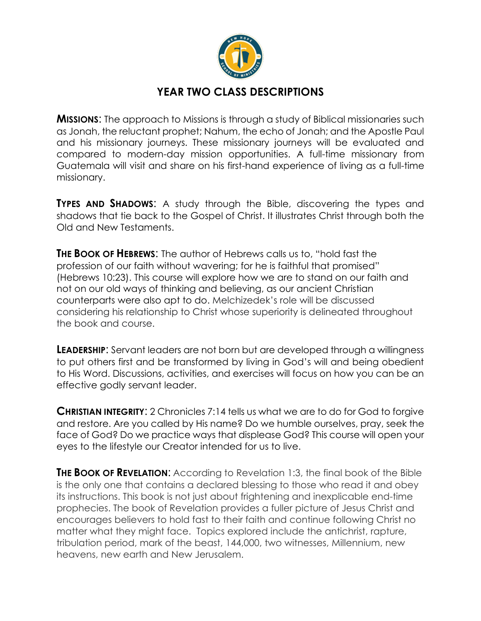

#### **YEAR TWO CLASS DESCRIPTIONS**

**MISSIONS**: The approach to Missions is through a study of Biblical missionaries such as Jonah, the reluctant prophet; Nahum, the echo of Jonah; and the Apostle Paul and his missionary journeys. These missionary journeys will be evaluated and compared to modern-day mission opportunities. A full-time missionary from Guatemala will visit and share on his first-hand experience of living as a full-time missionary.

**TYPES AND SHADOWS:** A study through the Bible, discovering the types and shadows that tie back to the Gospel of Christ. It illustrates Christ through both the Old and New Testaments.

**THE BOOK OF HEBREWS:** The author of Hebrews calls us to, "hold fast the profession of our faith without wavering; for he is faithful that promised" (Hebrews 10:23). This course will explore how we are to stand on our faith and not on our old ways of thinking and believing, as our ancient Christian counterparts were also apt to do. Melchizedek's role will be discussed considering his relationship to Christ whose superiority is delineated throughout the book and course.

**LEADERSHIP**: Servant leaders are not born but are developed through a willingness to put others first and be transformed by living in God's will and being obedient to His Word. Discussions, activities, and exercises will focus on how you can be an effective godly servant leader.

**CHRISTIAN INTEGRITY:** 2 Chronicles 7:14 tells us what we are to do for God to forgive and restore. Are you called by His name? Do we humble ourselves, pray, seek the face of God? Do we practice ways that displease God? This course will open your eyes to the lifestyle our Creator intended for us to live.

**THE BOOK OF REVELATION:** According to Revelation 1:3, the final book of the Bible is the only one that contains a declared blessing to those who read it and obey its instructions. This book is not just about frightening and inexplicable end-time prophecies. The book of Revelation provides a fuller picture of Jesus Christ and encourages believers to hold fast to their faith and continue following Christ no matter what they might face. Topics explored include the antichrist, rapture, tribulation period, mark of the beast, 144,000, two witnesses, Millennium, new heavens, new earth and New Jerusalem.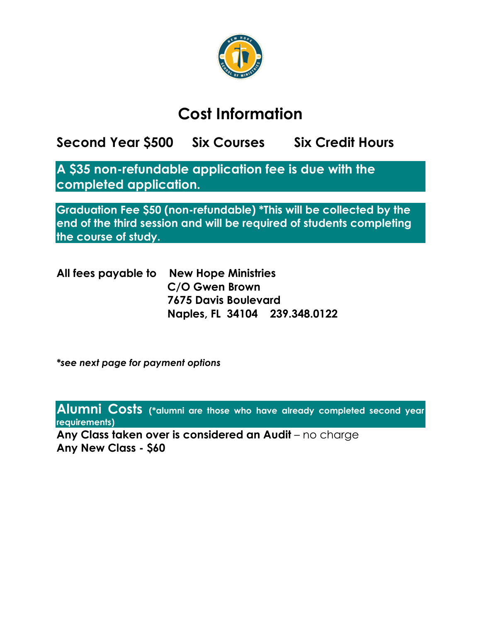

### **Cost Information**

### **Second Year \$500 Six Courses Six Credit Hours**

**A \$35 non-refundable application fee is due with the completed application.** 

**Graduation Fee \$50 (non-refundable) \*This will be collected by the end of the third session and will be required of students completing the course of study.** 

| All fees payable to New Hope Ministries |                               |  |
|-----------------------------------------|-------------------------------|--|
|                                         | C/O Gwen Brown                |  |
|                                         | <b>7675 Davis Boulevard</b>   |  |
|                                         | Naples, FL 34104 239.348.0122 |  |

*\*see next page for payment options* 

**Alumni Costs (\*alumni are those who have already completed second year requirements) Any Class taken over is considered an Audit** – no charge **Any New Class - \$60**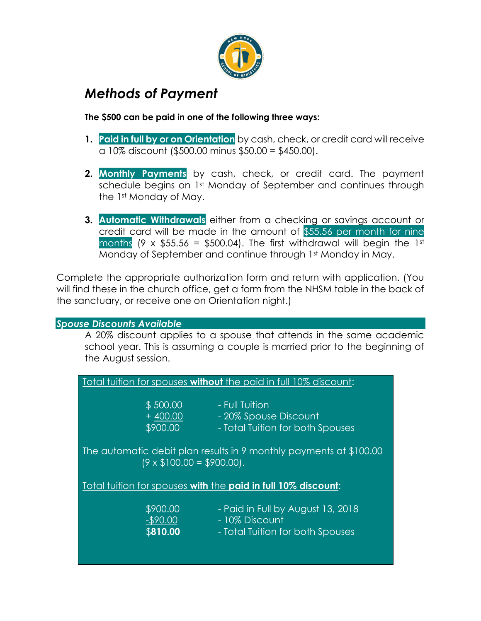

#### *Methods of Payment*

#### **The \$500 can be paid in one of the following three ways:**

- **1. Paid in full by or on Orientation** by cash, check, or credit card will receive a 10% discount (\$500.00 minus \$50.00 = \$450.00).
- **2. Monthly Payments** by cash, check, or credit card. The payment schedule begins on 1<sup>st</sup> Monday of September and continues through the 1st Monday of May.
- **3. Automatic Withdrawals** either from a checking or savings account or credit card will be made in the amount of \$55.56 per month for nine months (9 x \$55.56 = \$500.04). The first withdrawal will begin the 1st Monday of September and continue through 1st Monday in May.

Complete the appropriate authorization form and return with application. (You will find these in the church office, get a form from the NHSM table in the back of the sanctuary, or receive one on Orientation night.)

#### *Spouse Discounts Available*

A 20% discount applies to a spouse that attends in the same academic school year. This is assuming a couple is married prior to the beginning of the August session.

|                                                                    | Total tuition for spouses without the paid in full 10% discount: |  |  |  |
|--------------------------------------------------------------------|------------------------------------------------------------------|--|--|--|
|                                                                    |                                                                  |  |  |  |
|                                                                    |                                                                  |  |  |  |
| \$500.00                                                           | - Full Tuition                                                   |  |  |  |
| $+400.00$                                                          | - 20% Spouse Discount                                            |  |  |  |
|                                                                    |                                                                  |  |  |  |
| \$900.00                                                           | - Total Tuition for both Spouses                                 |  |  |  |
|                                                                    |                                                                  |  |  |  |
| The automatic debit plan results in 9 monthly payments at \$100.00 |                                                                  |  |  |  |
|                                                                    |                                                                  |  |  |  |
| $(9 \times $100.00 = $900.00)$ .                                   |                                                                  |  |  |  |
|                                                                    |                                                                  |  |  |  |
| Total tuition for spouses with the paid in full 10% discount:      |                                                                  |  |  |  |
|                                                                    |                                                                  |  |  |  |
|                                                                    |                                                                  |  |  |  |
| \$900.00                                                           | - Paid in Full by August 13, 2018                                |  |  |  |
| $-$90.00$                                                          | - 10% Discount                                                   |  |  |  |
|                                                                    |                                                                  |  |  |  |
| \$810.00                                                           | - Total Tuition for both Spouses                                 |  |  |  |
|                                                                    |                                                                  |  |  |  |
|                                                                    |                                                                  |  |  |  |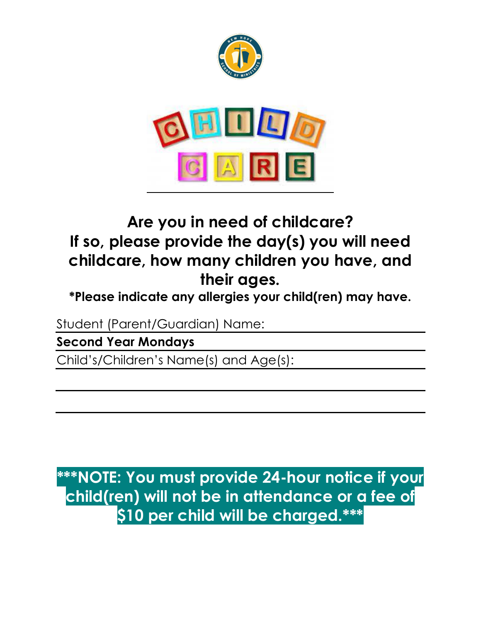



### **Are you in need of childcare? If so, please provide the day(s) you will need childcare, how many children you have, and their ages.**

**\*Please indicate any allergies your child(ren) may have.**

Student (Parent/Guardian) Name:

#### **Second Year Mondays**

Child's/Children's Name(s) and Age(s):

**\*\*\*NOTE: You must provide 24-hour notice if your child(ren) will not be in attendance or a fee of \$10 per child will be charged.\*\*\***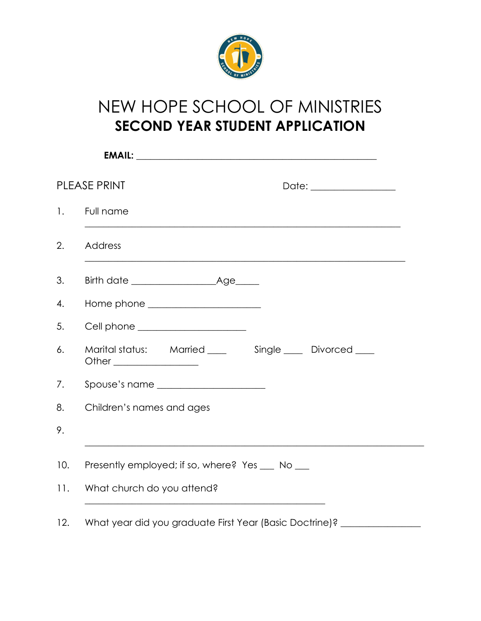

# NEW HOPE SCHOOL OF MINISTRIES **SECOND YEAR STUDENT APPLICATION**

|                | <b>PLEASE PRINT</b><br>Date: ________________                                                                    |
|----------------|------------------------------------------------------------------------------------------------------------------|
| $\mathbf{1}$ . | Full name                                                                                                        |
| 2.             | <b>Address</b>                                                                                                   |
| 3.             |                                                                                                                  |
| 4.             | Home phone ______________________                                                                                |
| 5.             | Cell phone ______________________                                                                                |
| 6.             | Marital status: Married ____ Single ___ Divorced ___<br>Other ________________                                   |
| 7.             | Spouse's name _______________________                                                                            |
| 8.             | Children's names and ages                                                                                        |
| 9.             | and the control of the control of the control of the control of the control of the control of the control of the |
| 10.            | Presently employed; if so, where? Yes ___ No ___                                                                 |
| 11.            | What church do you attend?                                                                                       |
| 12.            | What year did you graduate First Year (Basic Doctrine)?                                                          |